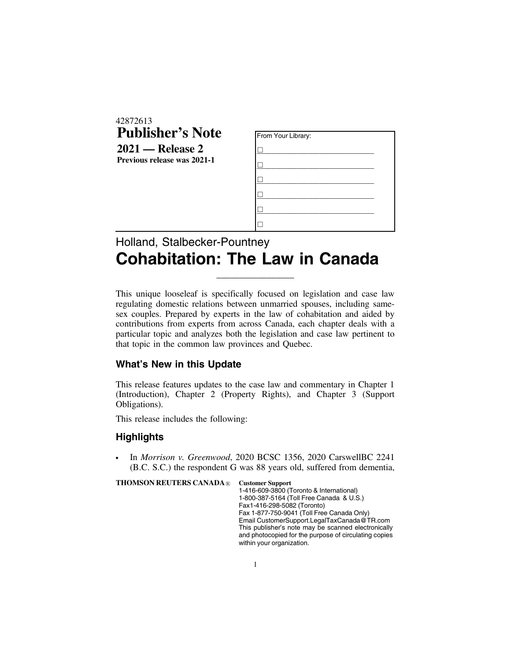| 42872613                           |                    |
|------------------------------------|--------------------|
| <b>Publisher's Note</b>            | From Your Library: |
| $2021$ — Release 2                 |                    |
| <b>Previous release was 2021-1</b> |                    |
|                                    |                    |
|                                    |                    |
|                                    |                    |
|                                    |                    |

## Holland, Stalbecker-Pountney **Cohabitation: The Law in Canada**

This unique looseleaf is specifically focused on legislation and case law regulating domestic relations between unmarried spouses, including samesex couples. Prepared by experts in the law of cohabitation and aided by contributions from experts from across Canada, each chapter deals with a particular topic and analyzes both the legislation and case law pertinent to that topic in the common law provinces and Quebec.

 $\overline{\phantom{a}}$  , where the contract of the contract of the contract of the contract of the contract of the contract of the contract of the contract of the contract of the contract of the contract of the contract of the contr

## **What's New in this Update**

This release features updates to the case law and commentary in Chapter 1 (Introduction), Chapter 2 (Property Rights), and Chapter 3 (Support Obligations).

This release includes the following:

## **Highlights**

. In *Morrison v. Greenwood*, 2020 BCSC 1356, 2020 CarswellBC 2241 (B.C. S.C.) the respondent G was 88 years old, suffered from dementia,

**THOMSON REUTERS CANADA**<sup>®</sup> Customer Support

1-416-609-3800 (Toronto & International) 1-800-387-5164 (Toll Free Canada & U.S.) Fax 1-416-298-5082 (Toronto) Fax 1-877-750-9041 (Toll Free Canada Only) Email CustomerSupport.LegalTaxCanada@TR.com This publisher's note may be scanned electronically and photocopied for the purpose of circulating copies within your organization.